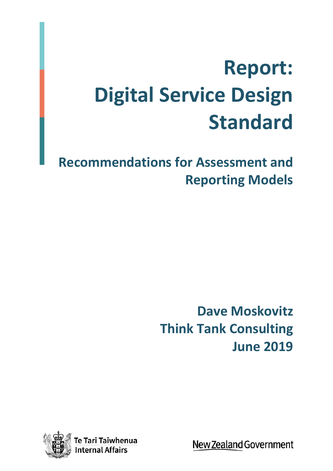# **Report: Digital Service Design Standard**

**Recommendations for Assessment and Reporting Models**

> **Dave Moskovitz Think Tank Consulting June 2019**



New Zealand Government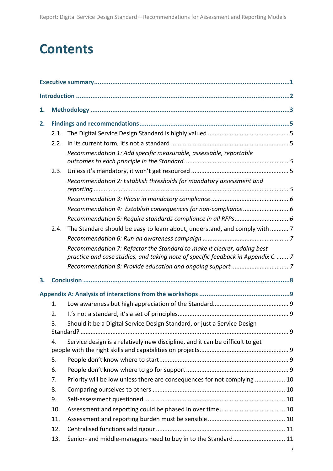## **Contents**

| 1. |      |                                                                                                                                                              |  |  |  |
|----|------|--------------------------------------------------------------------------------------------------------------------------------------------------------------|--|--|--|
| 2. |      |                                                                                                                                                              |  |  |  |
|    | 2.1. |                                                                                                                                                              |  |  |  |
|    | 2.2. |                                                                                                                                                              |  |  |  |
|    |      | Recommendation 1: Add specific measurable, assessable, reportable                                                                                            |  |  |  |
|    | 2.3. |                                                                                                                                                              |  |  |  |
|    |      | Recommendation 2: Establish thresholds for mandatory assessment and                                                                                          |  |  |  |
|    |      |                                                                                                                                                              |  |  |  |
|    |      | Recommendation 4: Establish consequences for non-compliance 6                                                                                                |  |  |  |
|    |      |                                                                                                                                                              |  |  |  |
|    | 2.4. | The Standard should be easy to learn about, understand, and comply with  7                                                                                   |  |  |  |
|    |      |                                                                                                                                                              |  |  |  |
|    |      | Recommendation 7: Refactor the Standard to make it clearer, adding best<br>practice and case studies, and taking note of specific feedback in Appendix C.  7 |  |  |  |
|    |      |                                                                                                                                                              |  |  |  |
| 3. |      |                                                                                                                                                              |  |  |  |
|    |      |                                                                                                                                                              |  |  |  |
|    | 1.   |                                                                                                                                                              |  |  |  |
|    | 2.   |                                                                                                                                                              |  |  |  |
|    | 3.   | Should it be a Digital Service Design Standard, or just a Service Design                                                                                     |  |  |  |
|    | 4.   | Service design is a relatively new discipline, and it can be difficult to get                                                                                |  |  |  |
|    | 5.   |                                                                                                                                                              |  |  |  |
|    | 6.   |                                                                                                                                                              |  |  |  |
|    | 7.   | Priority will be low unless there are consequences for not complying  10                                                                                     |  |  |  |
|    | 8.   |                                                                                                                                                              |  |  |  |
|    | 9.   |                                                                                                                                                              |  |  |  |
|    | 10.  |                                                                                                                                                              |  |  |  |
|    | 11.  |                                                                                                                                                              |  |  |  |
|    | 12.  |                                                                                                                                                              |  |  |  |
|    | 13.  | Senior- and middle-managers need to buy in to the Standard 11                                                                                                |  |  |  |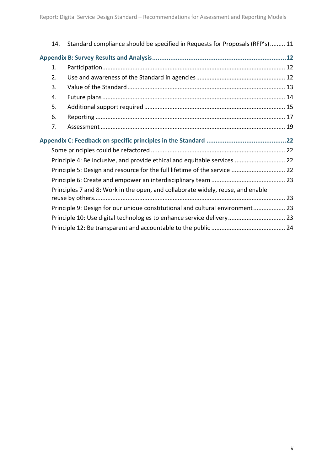|  | 14.                                                                             | Standard compliance should be specified in Requests for Proposals (RFP's) 11  |  |  |  |
|--|---------------------------------------------------------------------------------|-------------------------------------------------------------------------------|--|--|--|
|  |                                                                                 |                                                                               |  |  |  |
|  | 1.                                                                              |                                                                               |  |  |  |
|  | 2.                                                                              |                                                                               |  |  |  |
|  | 3.                                                                              |                                                                               |  |  |  |
|  | 4.                                                                              |                                                                               |  |  |  |
|  | 5.                                                                              |                                                                               |  |  |  |
|  | 6.                                                                              |                                                                               |  |  |  |
|  | 7.                                                                              |                                                                               |  |  |  |
|  |                                                                                 |                                                                               |  |  |  |
|  |                                                                                 |                                                                               |  |  |  |
|  |                                                                                 | Principle 4: Be inclusive, and provide ethical and equitable services  22     |  |  |  |
|  |                                                                                 | Principle 5: Design and resource for the full lifetime of the service  22     |  |  |  |
|  |                                                                                 |                                                                               |  |  |  |
|  | Principles 7 and 8: Work in the open, and collaborate widely, reuse, and enable |                                                                               |  |  |  |
|  |                                                                                 |                                                                               |  |  |  |
|  |                                                                                 | Principle 9: Design for our unique constitutional and cultural environment 23 |  |  |  |
|  |                                                                                 | Principle 10: Use digital technologies to enhance service delivery 23         |  |  |  |
|  |                                                                                 |                                                                               |  |  |  |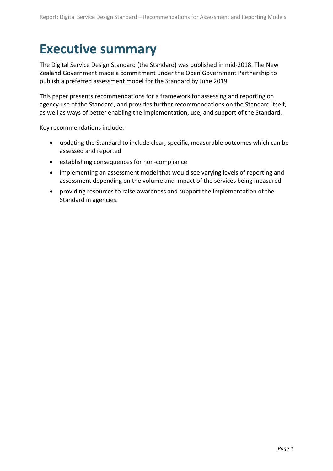## <span id="page-4-0"></span>**Executive summary**

The Digital Service Design Standard (the Standard) was published in mid-2018. The New Zealand Government made a commitment under the Open Government Partnership to publish a preferred assessment model for the Standard by June 2019.

This paper presents recommendations for a framework for assessing and reporting on agency use of the Standard, and provides further recommendations on the Standard itself, as well as ways of better enabling the implementation, use, and support of the Standard.

Key recommendations include:

- updating the Standard to include clear, specific, measurable outcomes which can be assessed and reported
- establishing consequences for non-compliance
- implementing an assessment model that would see varying levels of reporting and assessment depending on the volume and impact of the services being measured
- providing resources to raise awareness and support the implementation of the Standard in agencies.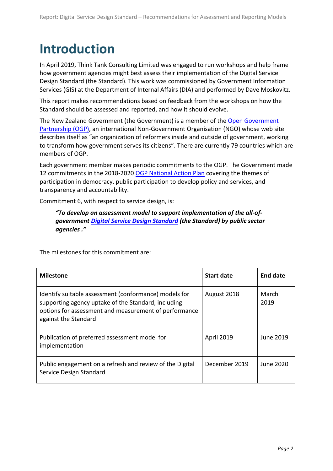## <span id="page-5-0"></span>**Introduction**

In April 2019, Think Tank Consulting Limited was engaged to run workshops and help frame how government agencies might best assess their implementation of the Digital Service Design Standard (the Standard). This work was commissioned by Government Information Services (GIS) at the Department of Internal Affairs (DIA) and performed by Dave Moskovitz.

This report makes recommendations based on feedback from the workshops on how the Standard should be assessed and reported, and how it should evolve.

The New Zealand Government (the Government) is a member of the [Open Government](https://www.opengovpartnership.org/)  [Partnership \(OGP\),](https://www.opengovpartnership.org/) an international Non-Government Organisation (NGO) whose web site describes itself as "an organization of reformers inside and outside of government, working to transform how government serves its citizens". There are currently 79 countries which are members of OGP.

Each government member makes periodic commitments to the OGP. The Government made 12 commitments in the 2018-2020 [OGP National Action Plan](http://www.ogp.org.nz/new-zealands-plan/third-national-action-plan-2018-2020/) covering the themes of participation in democracy, public participation to develop policy and services, and transparency and accountability.

Commitment 6, with respect to service design, is:

#### *"To develop an assessment model to support implementation of the all-ofgovernmen[t Digital Service Design Standard](https://www.digital.govt.nz/standards-and-guidance/digital-service-design-standard/) (the Standard) by public sector agencies ."*

The milestones for this commitment are:

| <b>Milestone</b>                                                                                                                                                                              | <b>Start date</b> | <b>End date</b> |
|-----------------------------------------------------------------------------------------------------------------------------------------------------------------------------------------------|-------------------|-----------------|
| Identify suitable assessment (conformance) models for<br>supporting agency uptake of the Standard, including<br>options for assessment and measurement of performance<br>against the Standard | August 2018       | March<br>2019   |
| Publication of preferred assessment model for<br>implementation                                                                                                                               | April 2019        | June 2019       |
| Public engagement on a refresh and review of the Digital<br>Service Design Standard                                                                                                           | December 2019     | June 2020       |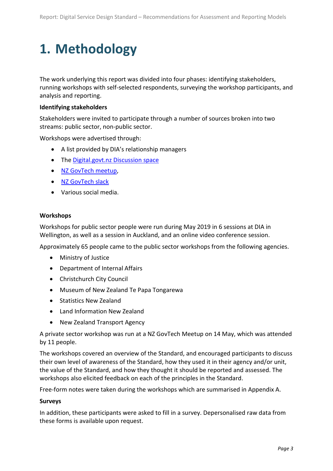## <span id="page-6-0"></span>**1. Methodology**

The work underlying this report was divided into four phases: identifying stakeholders, running workshops with self-selected respondents, surveying the workshop participants, and analysis and reporting.

#### **Identifying stakeholders**

Stakeholders were invited to participate through a number of sources broken into two streams: public sector, non-public sector.

Workshops were advertised through:

- A list provided by DIA's relationship managers
- The Digital.govt.nz [Discussion space](https://discuss.digital.govt.nz/d/FwmpHREk/assessment-model-workshops-come-along)
- [NZ GovTech meetup,](https://www.meetup.com/nzgovtech/events/261125051/)
- [NZ GovTech slack](https://govtech-community-nz.slack.com/archives/CF60N12SG/p1557100923001100)
- Various social media.

#### **Workshops**

Workshops for public sector people were run during May 2019 in 6 sessions at DIA in Wellington, as well as a session in Auckland, and an online video conference session.

Approximately 65 people came to the public sector workshops from the following agencies.

- Ministry of Justice
- Department of Internal Affairs
- Christchurch City Council
- Museum of New Zealand Te Papa Tongarewa
- Statistics New Zealand
- Land Information New Zealand
- New Zealand Transport Agency

A private sector workshop was run at a NZ GovTech Meetup on 14 May, which was attended by 11 people.

The workshops covered an overview of the Standard, and encouraged participants to discuss their own level of awareness of the Standard, how they used it in their agency and/or unit, the value of the Standard, and how they thought it should be reported and assessed. The workshops also elicited feedback on each of the principles in the Standard.

Free-form notes were taken during the workshops which are summarised in Appendix A.

#### **Surveys**

In addition, these participants were asked to fill in a survey. Depersonalised raw data from these forms is available upon request.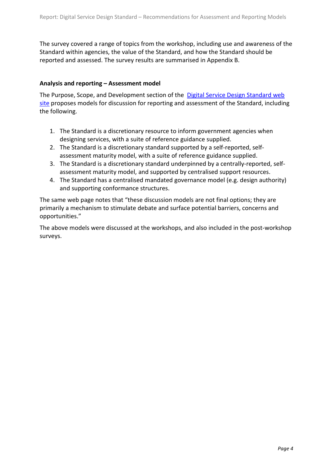The survey covered a range of topics from the workshop, including use and awareness of the Standard within agencies, the value of the Standard, and how the Standard should be reported and assessed. The survey results are summarised in Appendix B.

#### **Analysis and reporting – Assessment model**

The Purpose, Scope, and Development section of the [Digital Service Design Standard web](https://www.digital.govt.nz/standards-and-guidance/digital-service-design-standard/purpose-scope-and-development-of-the-standard/)  [site](https://www.digital.govt.nz/standards-and-guidance/digital-service-design-standard/purpose-scope-and-development-of-the-standard/) proposes models for discussion for reporting and assessment of the Standard, including the following.

- 1. The Standard is a discretionary resource to inform government agencies when designing services, with a suite of reference guidance supplied.
- 2. The Standard is a discretionary standard supported by a self-reported, selfassessment maturity model, with a suite of reference guidance supplied.
- 3. The Standard is a discretionary standard underpinned by a centrally-reported, selfassessment maturity model, and supported by centralised support resources.
- 4. The Standard has a centralised mandated governance model (e.g. design authority) and supporting conformance structures.

The same web page notes that "these discussion models are not final options; they are primarily a mechanism to stimulate debate and surface potential barriers, concerns and opportunities."

The above models were discussed at the workshops, and also included in the post-workshop surveys.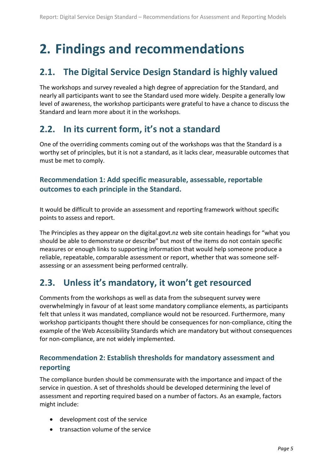## <span id="page-8-0"></span>**2. Findings and recommendations**

### <span id="page-8-1"></span>**2.1. The Digital Service Design Standard is highly valued**

The workshops and survey revealed a high degree of appreciation for the Standard, and nearly all participants want to see the Standard used more widely. Despite a generally low level of awareness, the workshop participants were grateful to have a chance to discuss the Standard and learn more about it in the workshops.

#### <span id="page-8-2"></span>**2.2. In its current form, it's not a standard**

One of the overriding comments coming out of the workshops was that the Standard is a worthy set of principles, but it is not a standard, as it lacks clear, measurable outcomes that must be met to comply.

#### <span id="page-8-3"></span>**Recommendation 1: Add specific measurable, assessable, reportable outcomes to each principle in the Standard.**

It would be difficult to provide an assessment and reporting framework without specific points to assess and report.

The Principles as they appear on the digital.govt.nz web site contain headings for "what you should be able to demonstrate or describe" but most of the items do not contain specific measures or enough links to supporting information that would help someone produce a reliable, repeatable, comparable assessment or report, whether that was someone selfassessing or an assessment being performed centrally.

### <span id="page-8-4"></span>**2.3. Unless it's mandatory, it won't get resourced**

Comments from the workshops as well as data from the subsequent survey were overwhelmingly in favour of at least some mandatory compliance elements, as participants felt that unless it was mandated, compliance would not be resourced. Furthermore, many workshop participants thought there should be consequences for non-compliance, citing the example of the Web Accessibility Standards which are mandatory but without consequences for non-compliance, are not widely implemented.

#### <span id="page-8-5"></span>**Recommendation 2: Establish thresholds for mandatory assessment and reporting**

The compliance burden should be commensurate with the importance and impact of the service in question. A set of thresholds should be developed determining the level of assessment and reporting required based on a number of factors. As an example, factors might include:

- development cost of the service
- transaction volume of the service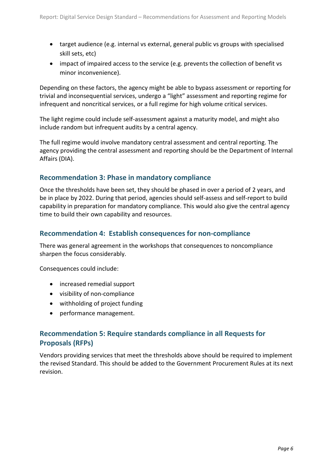- <span id="page-9-3"></span>• target audience (e.g. internal vs external, general public vs groups with specialised skill sets, etc)
- impact of impaired access to the service (e.g. prevents the collection of benefit vs minor inconvenience).

Depending on these factors, the agency might be able to bypass assessment or reporting for trivial and inconsequential services, undergo a "light" assessment and reporting regime for infrequent and noncritical services, or a full regime for high volume critical services.

The light regime could include self-assessment against a maturity model, and might also include random but infrequent audits by a central agency.

The full regime would involve mandatory central assessment and central reporting. The agency providing the central assessment and reporting should be the Department of Internal Affairs (DIA).

#### <span id="page-9-0"></span>**Recommendation 3: Phase in mandatory compliance**

Once the thresholds have been set, they should be phased in over a period of 2 years, and be in place by 2022. During that period, agencies should self-assess and self-report to build capability in preparation for mandatory compliance. This would also give the central agency time to build their own capability and resources.

#### <span id="page-9-1"></span>**Recommendation 4: Establish consequences for non-compliance**

There was general agreement in the workshops that consequences to noncompliance sharpen the focus considerably.

Consequences could include:

- increased remedial support
- visibility of non-compliance
- withholding of project funding
- performance management.

#### <span id="page-9-2"></span>**Recommendation 5: Require standards compliance in all Requests for Proposals (RFPs)**

Vendors providing services that meet the thresholds above should be required to implement the revised Standard. This should be added to the Government Procurement Rules at its next revision.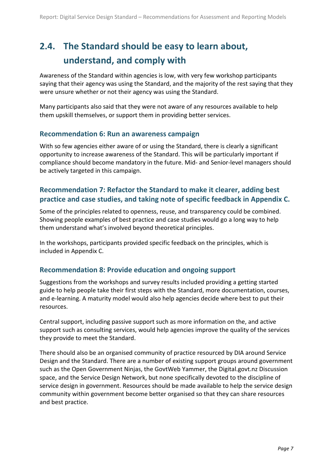## <span id="page-10-3"></span>**2.4. The Standard should be easy to learn about, understand, and comply with**

Awareness of the Standard within agencies is low, with very few workshop participants saying that their agency was using the Standard, and the majority of the rest saying that they were unsure whether or not their agency was using the Standard.

Many participants also said that they were not aware of any resources available to help them upskill themselves, or support them in providing better services.

#### <span id="page-10-0"></span>**Recommendation 6: Run an awareness campaign**

With so few agencies either aware of or using the Standard, there is clearly a significant opportunity to increase awareness of the Standard. This will be particularly important if compliance should become mandatory in the future. Mid- and Senior-level managers should be actively targeted in this campaign.

#### <span id="page-10-1"></span>**Recommendation 7: Refactor the Standard to make it clearer, adding best practice and case studies, and taking note of specific feedback in Appendix C.**

Some of the principles related to openness, reuse, and transparency could be combined. Showing people examples of best practice and case studies would go a long way to help them understand what's involved beyond theoretical principles.

In the workshops, participants provided specific feedback on the principles, which is included in Appendix C.

#### <span id="page-10-2"></span>**Recommendation 8: Provide education and ongoing support**

Suggestions from the workshops and survey results included providing a getting started guide to help people take their first steps with the Standard, more documentation, courses, and e-learning. A maturity model would also help agencies decide where best to put their resources.

Central support, including passive support such as more information on the, and active support such as consulting services, would help agencies improve the quality of the services they provide to meet the Standard.

There should also be an organised community of practice resourced by DIA around Service Design and the Standard. There are a number of existing support groups around government such as the Open Government Ninjas, the GovtWeb Yammer, the Digital.govt.nz Discussion space, and the Service Design Network, but none specifically devoted to the discipline of service design in government. Resources should be made available to help the service design community within government become better organised so that they can share resources and best practice.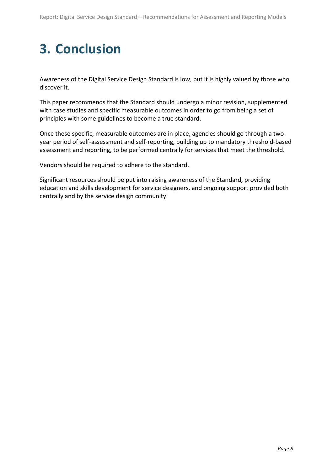## **3. Conclusion**

Awareness of the Digital Service Design Standard is low, but it is highly valued by those who discover it.

This paper recommends that the Standard should undergo a minor revision, supplemented with case studies and specific measurable outcomes in order to go from being a set of principles with some guidelines to become a true standard.

Once these specific, measurable outcomes are in place, agencies should go through a twoyear period of self-assessment and self-reporting, building up to mandatory threshold-based assessment and reporting, to be performed centrally for services that meet the threshold.

Vendors should be required to adhere to the standard.

Significant resources should be put into raising awareness of the Standard, providing education and skills development for service designers, and ongoing support provided both centrally and by the service design community.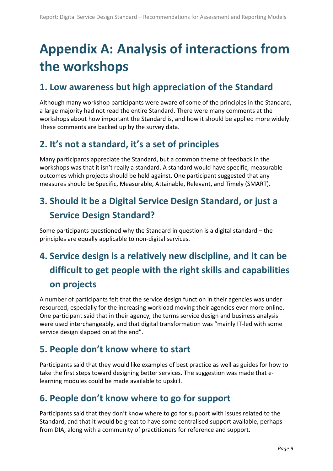## <span id="page-12-7"></span><span id="page-12-0"></span>**Appendix A: Analysis of interactions from the workshops**

#### <span id="page-12-1"></span>**1. Low awareness but high appreciation of the Standard**

Although many workshop participants were aware of some of the principles in the Standard, a large majority had not read the entire Standard. There were many comments at the workshops about how important the Standard is, and how it should be applied more widely. These comments are backed up by the survey data.

## <span id="page-12-2"></span>**2. It's not a standard, it's a set of principles**

Many participants appreciate the Standard, but a common theme of feedback in the workshops was that it isn't really a standard. A standard would have specific, measurable outcomes which projects should be held against. One participant suggested that any measures should be Specific, Measurable, Attainable, Relevant, and Timely (SMART).

## <span id="page-12-3"></span>**3. Should it be a Digital Service Design Standard, or just a Service Design Standard?**

Some participants questioned why the Standard in question is a digital standard – the principles are equally applicable to non-digital services.

## <span id="page-12-4"></span>**4. Service design is a relatively new discipline, and it can be difficult to get people with the right skills and capabilities on projects**

A number of participants felt that the service design function in their agencies was under resourced, especially for the increasing workload moving their agencies ever more online. One participant said that in their agency, the terms service design and business analysis were used interchangeably, and that digital transformation was "mainly IT-led with some service design slapped on at the end".

### <span id="page-12-5"></span>**5. People don't know where to start**

Participants said that they would like examples of best practice as well as guides for how to take the first steps toward designing better services. The suggestion was made that elearning modules could be made available to upskill.

### <span id="page-12-6"></span>**6. People don't know where to go for support**

Participants said that they don't know where to go for support with issues related to the Standard, and that it would be great to have some centralised support available, perhaps from DIA, along with a community of practitioners for reference and support.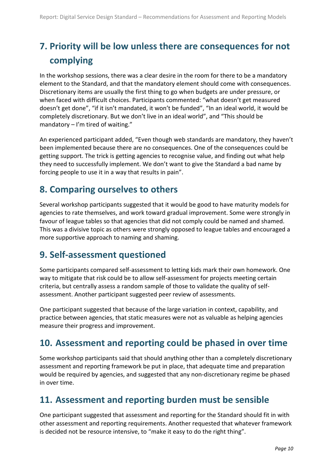## <span id="page-13-4"></span>**7. Priority will be low unless there are consequences for not complying**

In the workshop sessions, there was a clear desire in the room for there to be a mandatory element to the Standard, and that the mandatory element should come with consequences. Discretionary items are usually the first thing to go when budgets are under pressure, or when faced with difficult choices. Participants commented: "what doesn't get measured doesn't get done", "if it isn't mandated, it won't be funded", "In an ideal world, it would be completely discretionary. But we don't live in an ideal world", and "This should be mandatory  $-1$ 'm tired of waiting."

An experienced participant added, "Even though web standards are mandatory, they haven't been implemented because there are no consequences. One of the consequences could be getting support. The trick is getting agencies to recognise value, and finding out what help they need to successfully implement. We don't want to give the Standard a bad name by forcing people to use it in a way that results in pain".

### <span id="page-13-0"></span>**8. Comparing ourselves to others**

Several workshop participants suggested that it would be good to have maturity models for agencies to rate themselves, and work toward gradual improvement. Some were strongly in favour of league tables so that agencies that did not comply could be named and shamed. This was a divisive topic as others were strongly opposed to league tables and encouraged a more supportive approach to naming and shaming.

#### <span id="page-13-1"></span>**9. Self-assessment questioned**

Some participants compared self-assessment to letting kids mark their own homework. One way to mitigate that risk could be to allow self-assessment for projects meeting certain criteria, but centrally assess a random sample of those to validate the quality of selfassessment. Another participant suggested peer review of assessments.

One participant suggested that because of the large variation in context, capability, and practice between agencies, that static measures were not as valuable as helping agencies measure their progress and improvement.

#### <span id="page-13-2"></span>**10. Assessment and reporting could be phased in over time**

Some workshop participants said that should anything other than a completely discretionary assessment and reporting framework be put in place, that adequate time and preparation would be required by agencies, and suggested that any non-discretionary regime be phased in over time.

#### <span id="page-13-3"></span>**11. Assessment and reporting burden must be sensible**

One participant suggested that assessment and reporting for the Standard should fit in with other assessment and reporting requirements. Another requested that whatever framework is decided not be resource intensive, to "make it easy to do the right thing".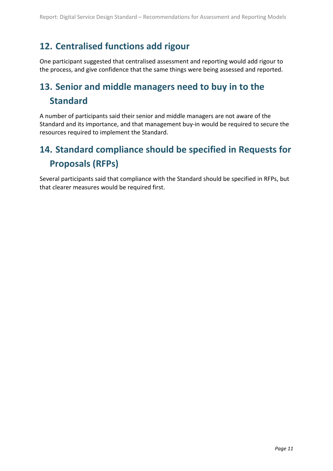### **12. Centralised functions add rigour**

One participant suggested that centralised assessment and reporting would add rigour to the process, and give confidence that the same things were being assessed and reported.

## <span id="page-14-0"></span>**13. Senior and middle managers need to buy in to the Standard**

A number of participants said their senior and middle managers are not aware of the Standard and its importance, and that management buy-in would be required to secure the resources required to implement the Standard.

## <span id="page-14-1"></span>**14. Standard compliance should be specified in Requests for Proposals (RFPs)**

Several participants said that compliance with the Standard should be specified in RFPs, but that clearer measures would be required first.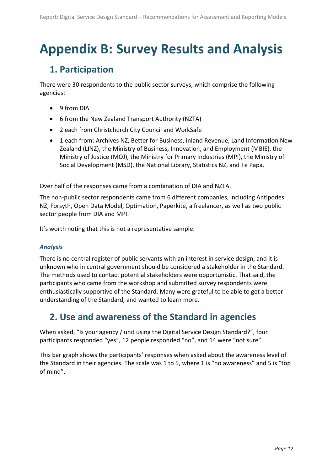## <span id="page-15-0"></span>**Appendix B: Survey Results and Analysis**

### <span id="page-15-1"></span>**1. Participation**

There were 30 respondents to the public sector surveys, which comprise the following agencies:

- 9 from DIA
- 6 from the New Zealand Transport Authority (NZTA)
- 2 each from Christchurch City Council and WorkSafe
- 1 each from: Archives NZ, Better for Business, Inland Revenue, Land Information New Zealand (LINZ), the Ministry of Business, Innovation, and Employment (MBIE), the Ministry of Justice (MOJ), the Ministry for Primary Industries (MPI), the Ministry of Social Development (MSD), the National Library, Statistics NZ, and Te Papa.

Over half of the responses came from a combination of DIA and NZTA.

The non-public sector respondents came from 6 different companies, including Antipodes NZ, Forsyth, Open Data Model, Optimation, Paperkite, a freelancer, as well as two public sector people from DIA and MPI.

It's worth noting that this is not a representative sample.

#### *Analysis*

There is no central register of public servants with an interest in service design, and it is unknown who in central government should be considered a stakeholder in the Standard. The methods used to contact potential stakeholders were opportunistic. That said, the participants who came from the workshop and submitted survey respondents were enthusiastically supportive of the Standard. Many were grateful to be able to get a better understanding of the Standard, and wanted to learn more.

### <span id="page-15-2"></span>**2. Use and awareness of the Standard in agencies**

When asked, "Is your agency / unit using the Digital Service Design Standard?", four participants responded "yes", 12 people responded "no", and 14 were "not sure".

This bar graph shows the participants' responses when asked about the awareness level of the Standard in their agencies. The scale was 1 to 5, where 1 is "no awareness" and 5 is "top of mind".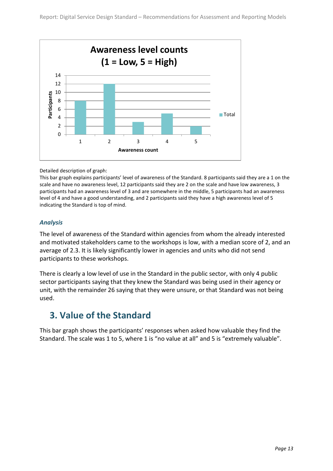

Detailed description of graph:

This bar graph explains participants' level of awareness of the Standard. 8 participants said they are a 1 on the scale and have no awareness level, 12 participants said they are 2 on the scale and have low awareness, 3 participants had an awareness level of 3 and are somewhere in the middle, 5 participants had an awareness level of 4 and have a good understanding, and 2 participants said they have a high awareness level of 5 indicating the Standard is top of mind.

#### *Analysis*

The level of awareness of the Standard within agencies from whom the already interested and motivated stakeholders came to the workshops is low, with a median score of 2, and an average of 2.3. It is likely significantly lower in agencies and units who did not send participants to these workshops.

There is clearly a low level of use in the Standard in the public sector, with only 4 public sector participants saying that they knew the Standard was being used in their agency or unit, with the remainder 26 saying that they were unsure, or that Standard was not being used.

#### <span id="page-16-0"></span>**3. Value of the Standard**

This bar graph shows the participants' responses when asked how valuable they find the Standard. The scale was 1 to 5, where 1 is "no value at all" and 5 is "extremely valuable".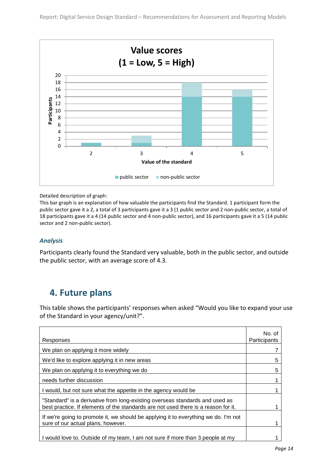

Detailed description of graph:

This bar graph is an explanation of how valuable the participants find the Standard. 1 participant form the public sector gave it a 2, a total of 3 participants gave it a 3 (1 public sector and 2 non-public sector, a total of 18 participants gave it a 4 (14 public sector and 4 non-public sector), and 16 participants gave it a 5 (14 public sector and 2 non-public sector).

#### *Analysis*

Participants clearly found the Standard very valuable, both in the public sector, and outside the public sector, with an average score of 4.3.

#### <span id="page-17-0"></span>**4. Future plans**

This table shows the participants' responses when asked "Would you like to expand your use of the Standard in your agency/unit?".

| Responses                                                                                                                                                          | No. of<br>Participants |
|--------------------------------------------------------------------------------------------------------------------------------------------------------------------|------------------------|
| We plan on applying it more widely                                                                                                                                 |                        |
| We'd like to explore applying it in new areas                                                                                                                      | 5                      |
| We plan on applying it to everything we do                                                                                                                         | 5                      |
| needs further discussion                                                                                                                                           |                        |
| I would, but not sure what the appetite in the agency would be                                                                                                     |                        |
| "Standard" is a derivative from long-existing overseas standards and used as<br>best practice. If elements of the standards are not used there is a reason for it. |                        |
| If we're going to promote it, we should be applying it to everything we do. I'm not<br>sure of our actual plans, however.                                          |                        |
| I would love to. Outside of my team, I am not sure if more than 3 people at my                                                                                     |                        |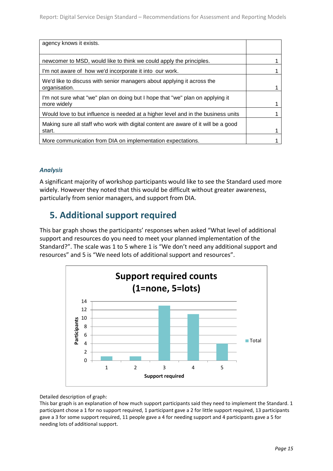| agency knows it exists.                                                                      |  |
|----------------------------------------------------------------------------------------------|--|
| newcomer to MSD, would like to think we could apply the principles.                          |  |
| I'm not aware of how we'd incorporate it into our work.                                      |  |
| We'd like to discuss with senior managers about applying it across the<br>organisation.      |  |
| I'm not sure what "we" plan on doing but I hope that "we" plan on applying it<br>more widely |  |
| Would love to but influence is needed at a higher level and in the business units            |  |
| Making sure all staff who work with digital content are aware of it will be a good<br>start. |  |
| More communication from DIA on implementation expectations.                                  |  |

#### *Analysis*

A significant majority of workshop participants would like to see the Standard used more widely. However they noted that this would be difficult without greater awareness, particularly from senior managers, and support from DIA.

#### <span id="page-18-0"></span>**5. Additional support required**

This bar graph shows the participants' responses when asked "What level of additional support and resources do you need to meet your planned implementation of the Standard?". The scale was 1 to 5 where 1 is "We don't need any additional support and resources" and 5 is "We need lots of additional support and resources".



Detailed description of graph:

This bar graph is an explanation of how much support participants said they need to implement the Standard. 1 participant chose a 1 for no support required, 1 participant gave a 2 for little support required, 13 participants gave a 3 for some support required, 11 people gave a 4 for needing support and 4 participants gave a 5 for needing lots of additional support.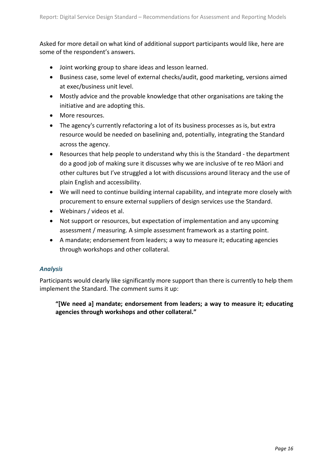<span id="page-19-0"></span>Asked for more detail on what kind of additional support participants would like, here are some of the respondent's answers.

- Joint working group to share ideas and lesson learned.
- Business case, some level of external checks/audit, good marketing, versions aimed at exec/business unit level.
- Mostly advice and the provable knowledge that other organisations are taking the initiative and are adopting this.
- More resources.
- The agency's currently refactoring a lot of its business processes as is, but extra resource would be needed on baselining and, potentially, integrating the Standard across the agency.
- Resources that help people to understand why this is the Standard the department do a good job of making sure it discusses why we are inclusive of te reo Māori and other cultures but I've struggled a lot with discussions around literacy and the use of plain English and accessibility.
- We will need to continue building internal capability, and integrate more closely with procurement to ensure external suppliers of design services use the Standard.
- Webinars / videos et al.
- Not support or resources, but expectation of implementation and any upcoming assessment / measuring. A simple assessment framework as a starting point.
- A mandate; endorsement from leaders; a way to measure it; educating agencies through workshops and other collateral.

#### *Analysis*

Participants would clearly like significantly more support than there is currently to help them implement the Standard. The comment sums it up:

**"[We need a] mandate; endorsement from leaders; a way to measure it; educating agencies through workshops and other collateral."**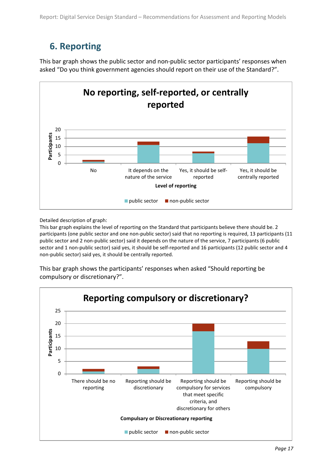## **6. Reporting**

This bar graph shows the public sector and non-public sector participants' responses when asked "Do you think government agencies should report on their use of the Standard?".



Detailed description of graph:

This bar graph explains the level of reporting on the Standard that participants believe there should be. 2 participants (one public sector and one non-public sector) said that no reporting is required, 13 participants (11 public sector and 2 non-public sector) said it depends on the nature of the service, 7 participants (6 public sector and 1 non-public sector) said yes, it should be self-reported and 16 participants (12 public sector and 4 non-public sector) said yes, it should be centrally reported.

This bar graph shows the participants' responses when asked "Should reporting be compulsory or discretionary?".

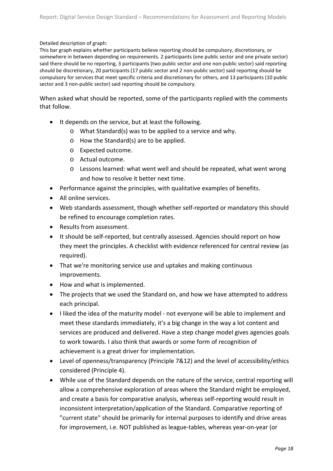Detailed description of graph:

This bar graph explains whether participants believe reporting should be compulsory, discretionary, or somewhere in between depending on requirements. 2 participants (one public sector and one private sector) said there should be no reporting, 3 participants (two public sector and one non-public sector) said reporting should be discretionary, 20 participants (17 public sector and 2 non-public sector) said reporting should be compulsory for services that meet specific criteria and discretionary for others, and 13 participants (10 public sector and 3 non-public sector) said reporting should be compulsory.

When asked what should be reported, some of the participants replied with the comments that follow.

- It depends on the service, but at least the following.
	- o What Standard(s) was to be applied to a service and why.
	- o How the Standard(s) are to be applied.
	- o Expected outcome.
	- o Actual outcome.
	- o Lessons learned: what went well and should be repeated, what went wrong and how to resolve it better next time.
- Performance against the principles, with qualitative examples of benefits.
- All online services.
- Web standards assessment, though whether self-reported or mandatory this should be refined to encourage completion rates.
- Results from assessment.
- It should be self-reported, but centrally assessed. Agencies should report on how they meet the principles. A checklist with evidence referenced for central review (as required).
- That we're monitoring service use and uptakes and making continuous improvements.
- How and what is implemented.
- The projects that we used the Standard on, and how we have attempted to address each principal.
- I liked the idea of the maturity model not everyone will be able to implement and meet these standards immediately, it's a big change in the way a lot content and services are produced and delivered. Have a step change model gives agencies goals to work towards. I also think that awards or some form of recognition of achievement is a great driver for implementation.
- Level of openness/transparency (Principle 7&12) and the level of accessibility/ethics considered (Principle 4).
- While use of the Standard depends on the nature of the service, central reporting will allow a comprehensive exploration of areas where the Standard might be employed, and create a basis for comparative analysis, whereas self-reporting would result in inconsistent interpretation/application of the Standard. Comparative reporting of "current state" should be primarily for internal purposes to identify and drive areas for improvement, i.e. NOT published as league-tables, whereas year-on-year (or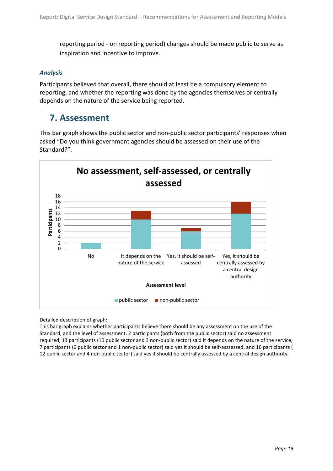reporting period - on reporting period) changes should be made public to serve as inspiration and incentive to improve.

#### *Analysis*

Participants believed that overall, there should at least be a compulsory element to reporting, and whether the reporting was done by the agencies themselves or centrally depends on the nature of the service being reported.

#### <span id="page-22-0"></span>**7. Assessment**

This bar graph shows the public sector and non-public sector participants' responses when asked "Do you think government agencies should be assessed on their use of the Standard?".



Detailed description of graph:

This bar graph explains whether participants believe there should be any assessment on the use of the Standard, and the level of assessment. 2 participants (both from the public sector) said no assessment required, 13 participants (10 public sector and 3 non-public sector) said it depends on the nature of the service, 7 participants (6 public sector and 1 non-public sector) said yes it should be self-asssessed, and 16 participants ( 12 public sector and 4 non-public sector) said yes it should be centrally assessed by a central design authority.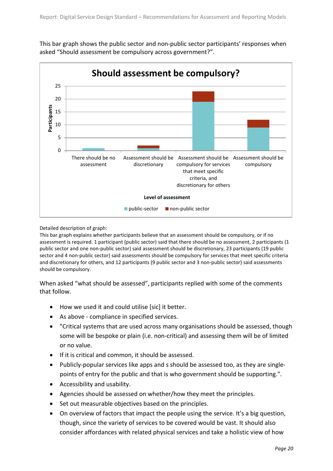This bar graph shows the public sector and non-public sector participants' responses when asked "Should assessment be compulsory across government?".



#### Detailed description of graph:

This bar graph explains whether participants believe that an assessment should be compulsory, or if no assessment is required. 1 participant (public sector) said that there should be no assessment, 2 participants (1 public sector and one non-public sector) said assessment should be discretionary, 23 participants (19 public sector and 4 non-public sector) said assessments should be compulsory for services that meet specific criteria and discretionary for others, and 12 participants (9 public sector and 3 non-public sector) said assessments should be compulsory.

When asked "what should be assessed", participants replied with some of the comments that follow.

- How we used it and could utilise [sic] it better.
- As above compliance in specified services.
- "Critical systems that are used across many organisations should be assessed, though some will be bespoke or plain (i.e. non-critical) and assessing them will be of limited or no value.
- If it is critical and common, it should be assessed.
- Publicly-popular services like apps and s should be assessed too, as they are singlepoints of entry for the public and that is who government should be supporting.".
- Accessibility and usability.
- Agencies should be assessed on whether/how they meet the principles.
- Set out measurable objectives based on the principles.
- On overview of factors that impact the people using the service. It's a big question, though, since the variety of services to be covered would be vast. It should also consider affordances with related physical services and take a holistic view of how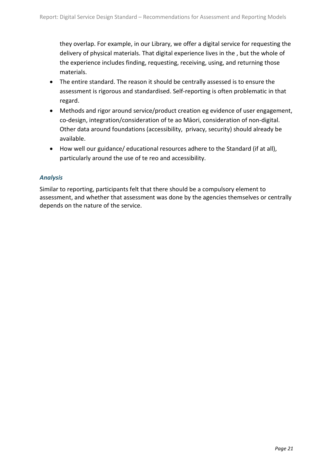they overlap. For example, in our Library, we offer a digital service for requesting the delivery of physical materials. That digital experience lives in the , but the whole of the experience includes finding, requesting, receiving, using, and returning those materials.

- The entire standard. The reason it should be centrally assessed is to ensure the assessment is rigorous and standardised. Self-reporting is often problematic in that regard.
- Methods and rigor around service/product creation eg evidence of user engagement, co-design, integration/consideration of te ao Māori, consideration of non-digital. Other data around foundations (accessibility, privacy, security) should already be available.
- How well our guidance/ educational resources adhere to the Standard (if at all), particularly around the use of te reo and accessibility.

#### *Analysis*

Similar to reporting, participants felt that there should be a compulsory element to assessment, and whether that assessment was done by the agencies themselves or centrally depends on the nature of the service.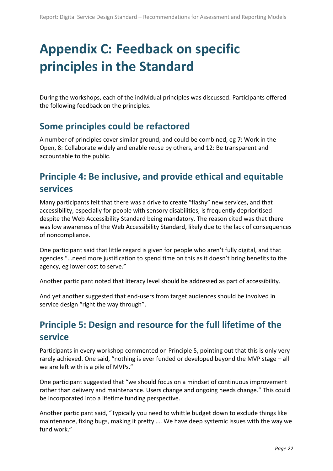## <span id="page-25-4"></span><span id="page-25-0"></span>**Appendix C: Feedback on specific principles in the Standard**

During the workshops, each of the individual principles was discussed. Participants offered the following feedback on the principles.

#### <span id="page-25-1"></span>**Some principles could be refactored**

A number of principles cover similar ground, and could be combined, eg 7: Work in the Open, 8: Collaborate widely and enable reuse by others, and 12: Be transparent and accountable to the public.

### <span id="page-25-2"></span>**Principle 4: Be inclusive, and provide ethical and equitable services**

Many participants felt that there was a drive to create "flashy" new services, and that accessibility, especially for people with sensory disabilities, is frequently deprioritised despite the Web Accessibility Standard being mandatory. The reason cited was that there was low awareness of the Web Accessibility Standard, likely due to the lack of consequences of noncompliance.

One participant said that little regard is given for people who aren't fully digital, and that agencies "…need more justification to spend time on this as it doesn't bring benefits to the agency, eg lower cost to serve."

Another participant noted that literacy level should be addressed as part of accessibility.

And yet another suggested that end-users from target audiences should be involved in service design "right the way through".

## <span id="page-25-3"></span>**Principle 5: Design and resource for the full lifetime of the service**

Participants in every workshop commented on Principle 5, pointing out that this is only very rarely achieved. One said, "nothing is ever funded or developed beyond the MVP stage – all we are left with is a pile of MVPs."

One participant suggested that "we should focus on a mindset of continuous improvement rather than delivery and maintenance. Users change and ongoing needs change." This could be incorporated into a lifetime funding perspective.

Another participant said, "Typically you need to whittle budget down to exclude things like maintenance, fixing bugs, making it pretty …. We have deep systemic issues with the way we fund work."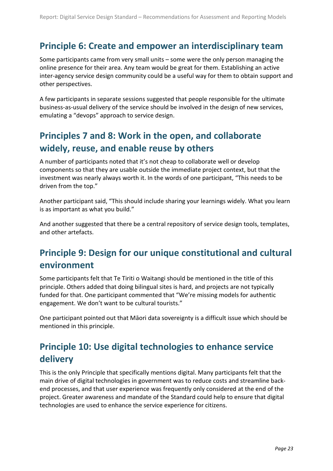#### <span id="page-26-3"></span>**Principle 6: Create and empower an interdisciplinary team**

Some participants came from very small units – some were the only person managing the online presence for their area. Any team would be great for them. Establishing an active inter-agency service design community could be a useful way for them to obtain support and other perspectives.

A few participants in separate sessions suggested that people responsible for the ultimate business-as-usual delivery of the service should be involved in the design of new services, emulating a "devops" approach to service design.

## <span id="page-26-0"></span>**Principles 7 and 8: Work in the open, and collaborate widely, reuse, and enable reuse by others**

A number of participants noted that it's not cheap to collaborate well or develop components so that they are usable outside the immediate project context, but that the investment was nearly always worth it. In the words of one participant, "This needs to be driven from the top."

Another participant said, "This should include sharing your learnings widely. What you learn is as important as what you build."

And another suggested that there be a central repository of service design tools, templates, and other artefacts.

## <span id="page-26-1"></span>**Principle 9: Design for our unique constitutional and cultural environment**

Some participants felt that Te Tiriti o Waitangi should be mentioned in the title of this principle. Others added that doing bilingual sites is hard, and projects are not typically funded for that. One participant commented that "We're missing models for authentic engagement. We don't want to be cultural tourists."

One participant pointed out that Māori data sovereignty is a difficult issue which should be mentioned in this principle.

## <span id="page-26-2"></span>**Principle 10: Use digital technologies to enhance service delivery**

This is the only Principle that specifically mentions digital. Many participants felt that the main drive of digital technologies in government was to reduce costs and streamline backend processes, and that user experience was frequently only considered at the end of the project. Greater awareness and mandate of the Standard could help to ensure that digital technologies are used to enhance the service experience for citizens.